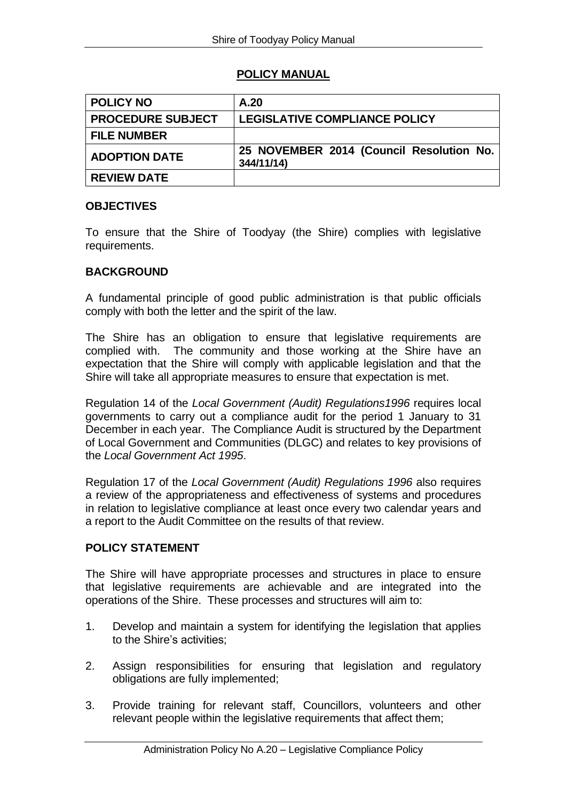# **POLICY MANUAL**

| <b>POLICY NO</b>         | A.20                                                   |
|--------------------------|--------------------------------------------------------|
| <b>PROCEDURE SUBJECT</b> | LEGISLATIVE COMPLIANCE POLICY                          |
| <b>FILE NUMBER</b>       |                                                        |
| <b>ADOPTION DATE</b>     | 25 NOVEMBER 2014 (Council Resolution No.<br>344/11/14) |
| <b>REVIEW DATE</b>       |                                                        |

# **OBJECTIVES**

To ensure that the Shire of Toodyay (the Shire) complies with legislative requirements.

# **BACKGROUND**

A fundamental principle of good public administration is that public officials comply with both the letter and the spirit of the law.

The Shire has an obligation to ensure that legislative requirements are complied with. The community and those working at the Shire have an expectation that the Shire will comply with applicable legislation and that the Shire will take all appropriate measures to ensure that expectation is met.

Regulation 14 of the *Local Government (Audit) Regulations1996* requires local governments to carry out a compliance audit for the period 1 January to 31 December in each year. The Compliance Audit is structured by the Department of Local Government and Communities (DLGC) and relates to key provisions of the *Local Government Act 1995*.

Regulation 17 of the *Local Government (Audit) Regulations 1996* also requires a review of the appropriateness and effectiveness of systems and procedures in relation to legislative compliance at least once every two calendar years and a report to the Audit Committee on the results of that review.

## **POLICY STATEMENT**

The Shire will have appropriate processes and structures in place to ensure that legislative requirements are achievable and are integrated into the operations of the Shire. These processes and structures will aim to:

- 1. Develop and maintain a system for identifying the legislation that applies to the Shire's activities;
- 2. Assign responsibilities for ensuring that legislation and regulatory obligations are fully implemented;
- 3. Provide training for relevant staff, Councillors, volunteers and other relevant people within the legislative requirements that affect them;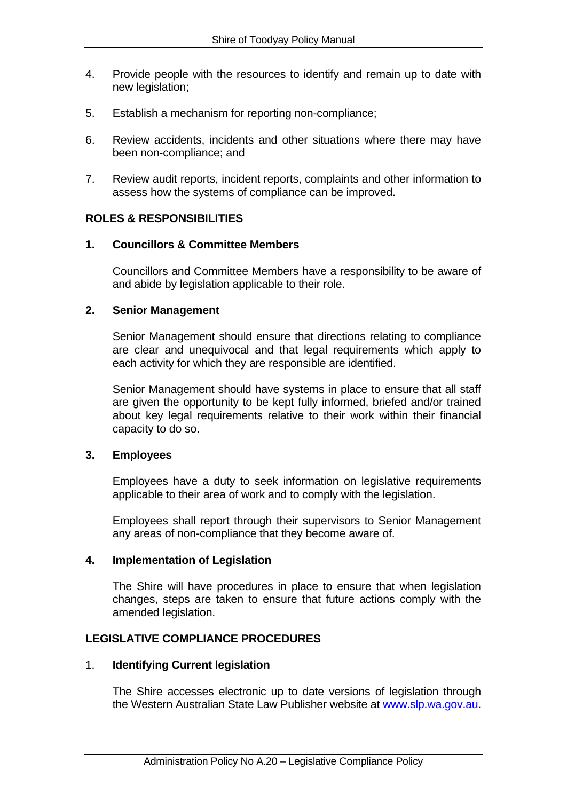- 4. Provide people with the resources to identify and remain up to date with new legislation;
- 5. Establish a mechanism for reporting non-compliance;
- 6. Review accidents, incidents and other situations where there may have been non-compliance; and
- 7. Review audit reports, incident reports, complaints and other information to assess how the systems of compliance can be improved.

### **ROLES & RESPONSIBILITIES**

#### **1. Councillors & Committee Members**

Councillors and Committee Members have a responsibility to be aware of and abide by legislation applicable to their role.

#### **2. Senior Management**

Senior Management should ensure that directions relating to compliance are clear and unequivocal and that legal requirements which apply to each activity for which they are responsible are identified.

Senior Management should have systems in place to ensure that all staff are given the opportunity to be kept fully informed, briefed and/or trained about key legal requirements relative to their work within their financial capacity to do so.

### **3. Employees**

Employees have a duty to seek information on legislative requirements applicable to their area of work and to comply with the legislation.

Employees shall report through their supervisors to Senior Management any areas of non-compliance that they become aware of.

### **4. Implementation of Legislation**

The Shire will have procedures in place to ensure that when legislation changes, steps are taken to ensure that future actions comply with the amended legislation.

### **LEGISLATIVE COMPLIANCE PROCEDURES**

### 1. **Identifying Current legislation**

The Shire accesses electronic up to date versions of legislation through the Western Australian State Law Publisher website at [www.slp.wa.gov.au.](http://www.slp.wa.gov.au/)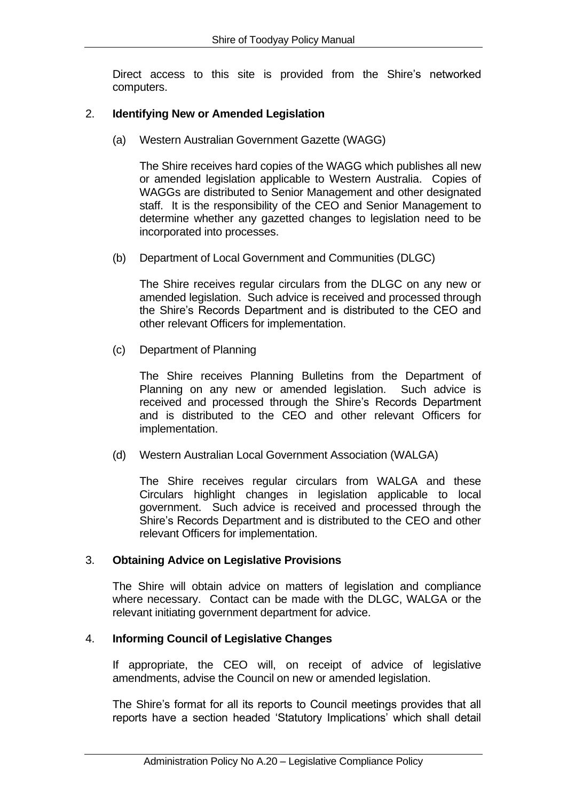Direct access to this site is provided from the Shire's networked computers.

# 2. **Identifying New or Amended Legislation**

(a) Western Australian Government Gazette (WAGG)

The Shire receives hard copies of the WAGG which publishes all new or amended legislation applicable to Western Australia. Copies of WAGGs are distributed to Senior Management and other designated staff. It is the responsibility of the CEO and Senior Management to determine whether any gazetted changes to legislation need to be incorporated into processes.

(b) Department of Local Government and Communities (DLGC)

The Shire receives regular circulars from the DLGC on any new or amended legislation. Such advice is received and processed through the Shire's Records Department and is distributed to the CEO and other relevant Officers for implementation.

(c) Department of Planning

The Shire receives Planning Bulletins from the Department of Planning on any new or amended legislation. Such advice is received and processed through the Shire's Records Department and is distributed to the CEO and other relevant Officers for implementation.

(d) Western Australian Local Government Association (WALGA)

The Shire receives regular circulars from WALGA and these Circulars highlight changes in legislation applicable to local government. Such advice is received and processed through the Shire's Records Department and is distributed to the CEO and other relevant Officers for implementation.

### 3. **Obtaining Advice on Legislative Provisions**

The Shire will obtain advice on matters of legislation and compliance where necessary. Contact can be made with the DLGC, WALGA or the relevant initiating government department for advice.

### 4. **Informing Council of Legislative Changes**

If appropriate, the CEO will, on receipt of advice of legislative amendments, advise the Council on new or amended legislation.

The Shire's format for all its reports to Council meetings provides that all reports have a section headed 'Statutory Implications' which shall detail